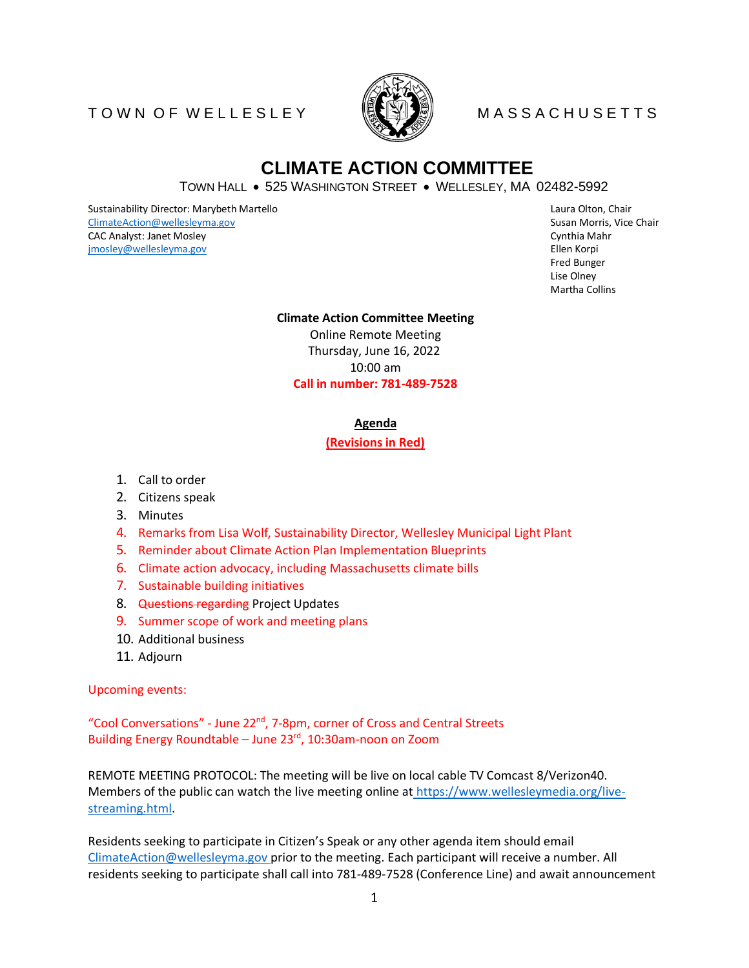## T O W N O F W E L L E S L E Y MARINING MASS A C H U S E T T S



# **CLIMATE ACTION COMMITTEE**

TOWN HALL • 525 WASHINGTON STREET • WELLESLEY, MA 02482-5992

Sustainability Director: Marybeth Martello **Chair Annual Communisty Communisty** Caura Olton, Chair [ClimateAction@wellesleyma.gov](mailto:ClimateAction@wellesleyma.gov) **Susan Morris, Vice Chair** Susan Morris, Vice Chair CAC Analyst: Janet Mosley Cynthia Mahr (Cynthia Mahr Cynthia Mahr Cynthia Mahr Cynthia Mahr Cynthia Mahr Cynthia Mahr Cynthia Mahr Cynthia Mahr Cynthia Mahr Cynthia Mahr Cynthia Mahr Cynthia Mahr Cynthia Mahr Cynthia Mahr [jmosley@wellesleyma.gov](mailto:jmosley@wellesleyma.gov) Ellen Korpi

Fred Bunger Lise Olney Martha Collins

### **Climate Action Committee Meeting**

Online Remote Meeting Thursday, June 16, 2022 10:00 am **Call in number: 781-489-7528** 

### **Agenda**

### **(Revisions in Red)**

- 1. Call to order
- 2. Citizens speak
- 3. Minutes
- 4. Remarks from Lisa Wolf, Sustainability Director, Wellesley Municipal Light Plant
- 5. Reminder about Climate Action Plan Implementation Blueprints
- 6. Climate action advocacy, including Massachusetts climate bills
- 7. Sustainable building initiatives
- 8. Questions regarding Project Updates
- 9. Summer scope of work and meeting plans
- 10. Additional business
- 11. Adjourn

Upcoming events:

"Cool Conversations" - June 22<sup>nd</sup>, 7-8pm, corner of Cross and Central Streets Building Energy Roundtable – June 23<sup>rd</sup>, 10:30am-noon on Zoom

REMOTE MEETING PROTOCOL: The meeting will be live on local cable TV Comcast 8/Verizon40. Members of the public can watch the live meeting online at [https://www.wellesleymedia.org/live](https://www.wellesleymedia.org/live-streaming.html)[streaming.html.](https://www.wellesleymedia.org/live-streaming.html)

Residents seeking to participate in Citizen's Speak or any other agenda item should email [ClimateAction@wellesleyma.gov p](mailto:ClimateAction@wellesleyma.gov)rior to the meeting. Each participant will receive a number. All residents seeking to participate shall call into 781-489-7528 (Conference Line) and await announcement